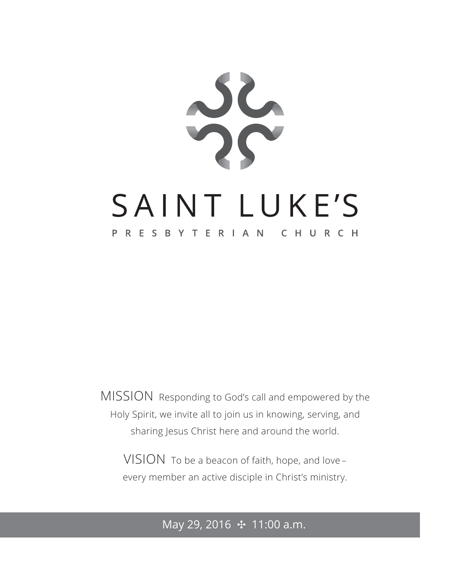

MISSION Responding to God's call and empowered by the Holy Spirit, we invite all to join us in knowing, serving, and sharing Jesus Christ here and around the world.

VISION To be a beacon of faith, hope, and love – every member an active disciple in Christ's ministry.

May 29, 2016 **⊹** 11:00 a.m.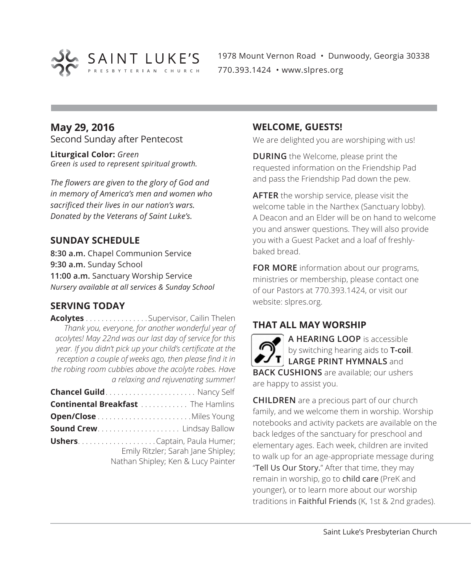

1978 Mount Vernon Road • Dunwoody, Georgia 30338 770.393.1424 • www.slpres.org

#### **May 29, 2016** Second Sunday after Pentecost

**Liturgical Color:** *Green Green is used to represent spiritual growth.* 

*The flowers are given to the glory of God and in memory of America's men and women who sacrificed their lives in our nation's wars. Donated by the Veterans of Saint Luke's.*

#### **SUNDAY SCHEDULE**

**8:30 a.m.** Chapel Communion Service **9:30 a.m.** Sunday School **11:00 a.m.** Sanctuary Worship Service *Nursery available at all services & Sunday School*

#### **SERVING TODAY**

**Acolytes** . . . . . . . . . . . . . . . Supervisor, Cailin Thelen *Thank you, everyone, for another wonderful year of acolytes! May 22nd was our last day of service for this year. If you didn't pick up your child's certificate at the reception a couple of weeks ago, then please find it in the robing room cubbies above the acolyte robes. Have a relaxing and rejuvenating summer!* **Chancel Guild** . . . . . . . . . . . . . . . . . . . . . . . Nancy Self **Continental Breakfast** . . . . . . . . . . . . The Hamlins **Open/Close** . . . . . . . . . . . . . . . . . . . . . . . Miles Young **Sound Crew** . . . . . . . . . . . . . . . . . . . . . Lindsay Ballow **Ushers** . . . . . . . . . . . . . . . . . . . Captain, Paula Humer; Emily Ritzler; Sarah Jane Shipley; Nathan Shipley; Ken & Lucy Painter

#### **WELCOME, GUESTS!**

We are delighted you are worshiping with us!

**DURING** the Welcome, please print the requested information on the Friendship Pad and pass the Friendship Pad down the pew.

**AFTER** the worship service, please visit the welcome table in the Narthex (Sanctuary lobby). A Deacon and an Elder will be on hand to welcome you and answer questions. They will also provide you with a Guest Packet and a loaf of freshlybaked bread.

**FOR MORE** information about our programs, ministries or membership, please contact one of our Pastors at 770.393.1424, or visit our website: slpres.org.

#### **THAT ALL MAY WORSHIP**

**A HEARING LOOP** is accessible by switching hearing aids to **T-coil**. **LARGE PRINT HYMNALS** and **BACK CUSHIONS** are available; our ushers are happy to assist you.

**CHILDREN** are a precious part of our church family, and we welcome them in worship. Worship notebooks and activity packets are available on the back ledges of the sanctuary for preschool and elementary ages. Each week, children are invited to walk up for an age-appropriate message during "Tell Us Our Story." After that time, they may remain in worship, go to child care (PreK and younger), or to learn more about our worship traditions in Faithful Friends (K, 1st & 2nd grades).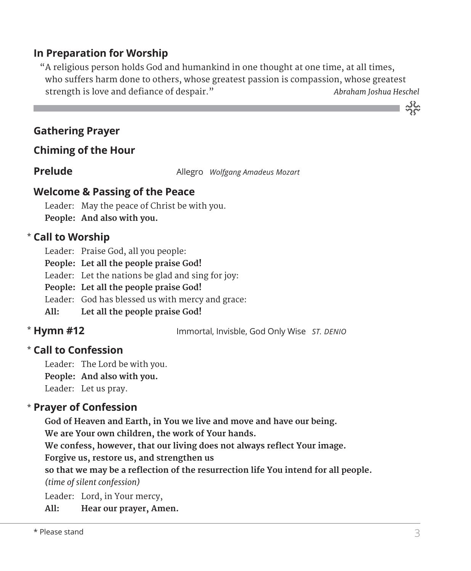#### **In Preparation for Worship**

 "A religious person holds God and humankind in one thought at one time, at all times, who suffers harm done to others, whose greatest passion is compassion, whose greatest strength is love and defiance of despair." *Abraham Joshua Heschel*

#### **Gathering Prayer**

#### **Chiming of the Hour**

**Prelude** Allegro *Wolfgang Amadeus Mozart* 

#### **Welcome & Passing of the Peace**

Leader: May the peace of Christ be with you. **People: And also with you.**

#### **Call to Worship** \*

Leader: Praise God, all you people:

**People: Let all the people praise God!** 

Leader: Let the nations be glad and sing for joy:

**People: Let all the people praise God!** 

Leader: God has blessed us with mercy and grace:

**All: Let all the people praise God!** 

#### \* Hymn #12

**Hymn #12** Immortal, Invisble, God Only Wise *ST. DENIO*

#### **Call to Confession**  \*

Leader: The Lord be with you. **People: And also with you.** Leader: Let us pray.

#### **Prayer of Confession**  \*

 **God of Heaven and Earth, in You we live and move and have our being.** 

**We are Your own children, the work of Your hands.** 

**We confess, however, that our living does not always reflect Your image.** 

**Forgive us, restore us, and strengthen us** 

**so that we may be a reflection of the resurrection life You intend for all people.**  *(time of silent confession)*

Leader: Lord, in Your mercy,

**All: Hear our prayer, Amen.**

ے<br>مہ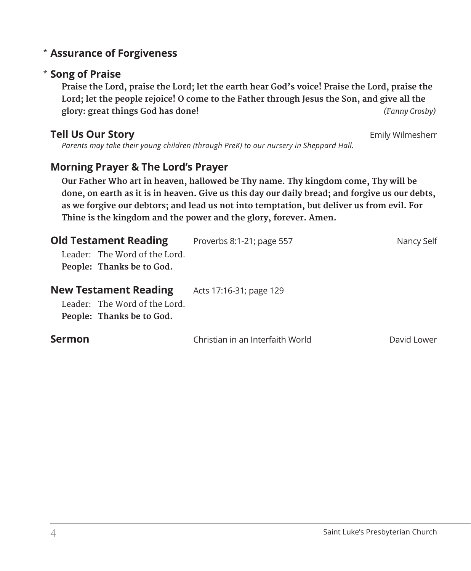#### **Assurance of Forgiveness** \*

#### **Song of Praise**  \*

 **Praise the Lord, praise the Lord; let the earth hear God's voice! Praise the Lord, praise the Lord; let the people rejoice! O come to the Father through Jesus the Son, and give all the glory: great things God has done!** *(Fanny Crosby)* 

#### **Tell Us Our Story Emily Wilmesherr Emily Wilmesherr**

*Parents may take their young children (through PreK) to our nursery in Sheppard Hall.* 

#### **Morning Prayer & The Lord's Prayer**

 **Our Father Who art in heaven, hallowed be Thy name. Thy kingdom come, Thy will be done, on earth as it is in heaven. Give us this day our daily bread; and forgive us our debts, as we forgive our debtors; and lead us not into temptation, but deliver us from evil. For Thine is the kingdom and the power and the glory, forever. Amen.**

| <b>Old Testament Reading</b> |                                                                                            | Proverbs 8:1-21; page 557        | Nancy Self  |
|------------------------------|--------------------------------------------------------------------------------------------|----------------------------------|-------------|
|                              | Leader: The Word of the Lord.<br>People: Thanks be to God.                                 |                                  |             |
|                              | <b>New Testament Reading</b><br>Leader: The Word of the Lord.<br>People: Thanks be to God. | Acts 17:16-31; page 129          |             |
| <b>Sermon</b>                |                                                                                            | Christian in an Interfaith World | David Lower |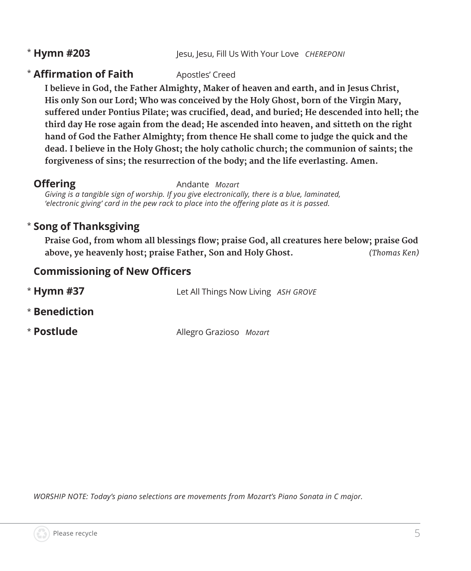#### \* Hymn #203

**Hesu, lesu, Fill Us With Your Love** *CHEREPONI* 

#### **\* Affirmation of Faith** Apostles' Creed

 **I believe in God, the Father Almighty, Maker of heaven and earth, and in Jesus Christ, His only Son our Lord; Who was conceived by the Holy Ghost, born of the Virgin Mary, suffered under Pontius Pilate; was crucified, dead, and buried; He descended into hell; the third day He rose again from the dead; He ascended into heaven, and sitteth on the right hand of God the Father Almighty; from thence He shall come to judge the quick and the dead. I believe in the Holy Ghost; the holy catholic church; the communion of saints; the forgiveness of sins; the resurrection of the body; and the life everlasting. Amen.**

**Offering** Andante *Mozart* 

*Giving is a tangible sign of worship. If you give electronically, there is a blue, laminated, 'electronic giving' card in the pew rack to place into the offering plate as it is passed.* 

#### \* **Song of Thanksgiving**

**Praise God, from whom all blessings flow; praise God, all creatures here below; praise God above, ye heavenly host; praise Father, Son and Holy Ghost.** *(Thomas Ken)*

#### **Commissioning of New Officers**

| $*$ Hymn #37  | Let All Things Now Living ASH GROVE |  |
|---------------|-------------------------------------|--|
| * Benediction |                                     |  |
| * Postlude    | Allegro Grazioso Mozart             |  |

*WORSHIP NOTE: Today's piano selections are movements from Mozart's Piano Sonata in C major.*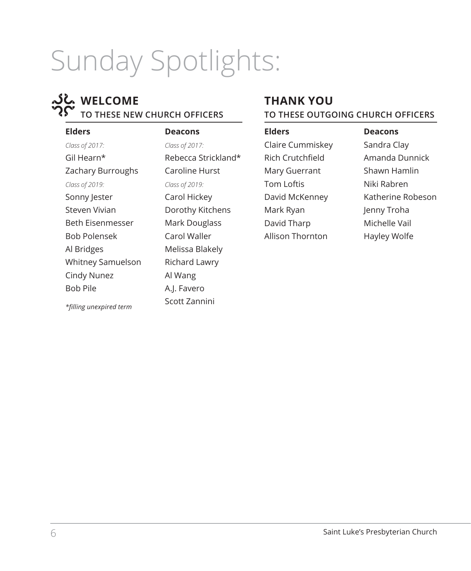# Sunday Spotlights:

#### **WELCOME TO THESE NEW CHURCH OFFICERS**

#### **Elders** *Class of 2017:* Gil Hearn\* Zachary Burroughs *Class of 2019:* Sonny Jester Steven Vivian Beth Eisenmesser Bob Polensek Al Bridges Whitney Samuelson Cindy Nunez Bob Pile

*\*filling unexpired term*

**Deacons** *Class of 2017:* Rebecca Strickland\* Caroline Hurst *Class of 2019:* Carol Hickey Dorothy Kitchens Mark Douglass Carol Waller Melissa Blakely Richard Lawry Al Wang A.J. Favero Scott Zannini

#### **THANK YOU TO THESE OUTGOING CHURCH OFFICERS**

**Elders** Claire Cummiskey Rich Crutchfield Mary Guerrant Tom Loftis David McKenney Mark Ryan David Tharp Allison Thornton

**Deacons** Sandra Clay Amanda Dunnick Shawn Hamlin Niki Rabren Katherine Robeson Jenny Troha Michelle Vail Hayley Wolfe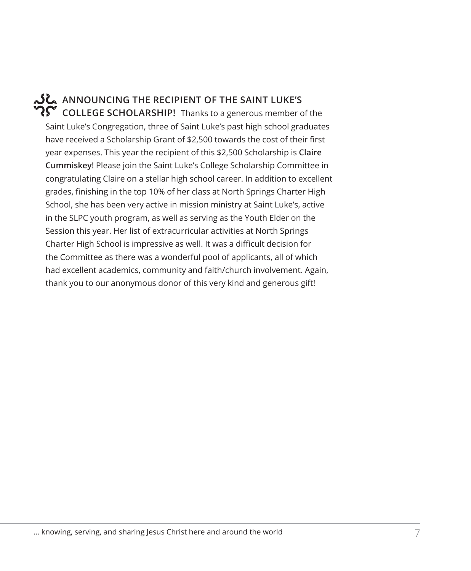#### **ANNOUNCING THE RECIPIENT OF THE SAINT LUKE'S COLLEGE SCHOLARSHIP!** Thanks to a generous member of the

Saint Luke's Congregation, three of Saint Luke's past high school graduates have received a Scholarship Grant of \$2,500 towards the cost of their first year expenses. This year the recipient of this \$2,500 Scholarship is **Claire Cummiskey**! Please join the Saint Luke's College Scholarship Committee in congratulating Claire on a stellar high school career. In addition to excellent grades, finishing in the top 10% of her class at North Springs Charter High School, she has been very active in mission ministry at Saint Luke's, active in the SLPC youth program, as well as serving as the Youth Elder on the Session this year. Her list of extracurricular activities at North Springs Charter High School is impressive as well. It was a difficult decision for the Committee as there was a wonderful pool of applicants, all of which had excellent academics, community and faith/church involvement. Again, thank you to our anonymous donor of this very kind and generous gift!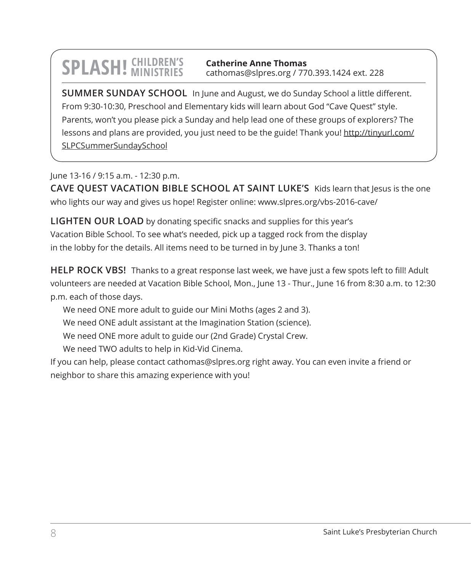## **SPLASH!** CHILDREN'S

**Catherine Anne Thomas** cathomas@slpres.org / 770.393.1424 ext. 228

**SUMMER SUNDAY SCHOOL** In June and August, we do Sunday School a little different. From 9:30-10:30, Preschool and Elementary kids will learn about God "Cave Quest" style. Parents, won't you please pick a Sunday and help lead one of these groups of explorers? The lessons and plans are provided, you just need to be the guide! Thank you! http://tinyurl.com/ SLPCSummerSundaySchool

June 13-16 / 9:15 a.m. - 12:30 p.m.

**CAVE QUEST VACATION BIBLE SCHOOL AT SAINT LUKE'S** Kids learn that Jesus is the one who lights our way and gives us hope! Register online: www.slpres.org/vbs-2016-cave/

**LIGHTEN OUR LOAD** by donating specific snacks and supplies for this year's Vacation Bible School. To see what's needed, pick up a tagged rock from the display in the lobby for the details. All items need to be turned in by June 3. Thanks a ton!

**HELP ROCK VBS!** Thanks to a great response last week, we have just a few spots left to fill! Adult volunteers are needed at Vacation Bible School, Mon., June 13 - Thur., June 16 from 8:30 a.m. to 12:30 p.m. each of those days.

We need ONE more adult to guide our Mini Moths (ages 2 and 3).

We need ONE adult assistant at the Imagination Station (science).

We need ONE more adult to guide our (2nd Grade) Crystal Crew.

We need TWO adults to help in Kid-Vid Cinema.

If you can help, please contact cathomas@slpres.org right away. You can even invite a friend or neighbor to share this amazing experience with you!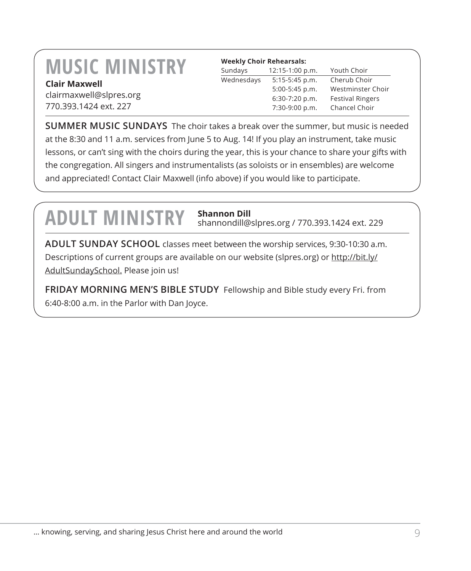### **MUSIC MINISTRY Clair Maxwell**

clairmaxwell@slpres.org 770.393.1424 ext. 227

| <b>Weekly Choir Rehearsals:</b> |                   |                         |  |
|---------------------------------|-------------------|-------------------------|--|
| Sundays                         | $12:15-1:00 p.m.$ | Youth Choir             |  |
| Wednesdays                      | $5:15-5:45$ p.m.  | Cherub Choir            |  |
|                                 | 5:00-5:45 p.m.    | Westminster Choir       |  |
|                                 | 6:30-7:20 p.m.    | <b>Festival Ringers</b> |  |
|                                 | 7:30-9:00 p.m.    | Chancel Choir           |  |

**SUMMER MUSIC SUNDAYS** The choir takes a break over the summer, but music is needed at the 8:30 and 11 a.m. services from June 5 to Aug. 14! If you play an instrument, take music lessons, or can't sing with the choirs during the year, this is your chance to share your gifts with the congregation. All singers and instrumentalists (as soloists or in ensembles) are welcome and appreciated! Contact Clair Maxwell (info above) if you would like to participate.

### **ADULT MINISTRY Shannon Dill**

shannondill@slpres.org / 770.393.1424 ext. 229

**ADULT SUNDAY SCHOOL** classes meet between the worship services, 9:30-10:30 a.m. Descriptions of current groups are available on our website (slpres.org) or http://bit.ly/ AdultSundaySchool. Please join us!

**FRIDAY MORNING MEN'S BIBLE STUDY** Fellowship and Bible study every Fri. from 6:40-8:00 a.m. in the Parlor with Dan Joyce.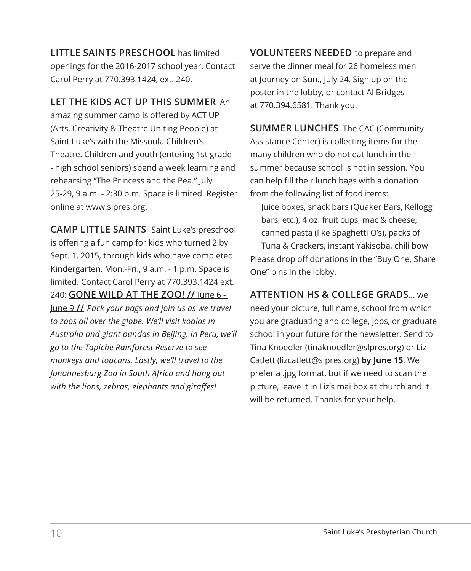**LITTLE SAINTS PRESCHOOL** has limited openings for the 2016-2017 school year. Contact Carol Perry at 770.393.1424, ext. 240.

#### **LET THE KIDS ACT UP THIS SUMMER** An

amazing summer camp is offered by ACT UP (Arts, Creativity & Theatre Uniting People) at Saint Luke's with the Missoula Children's Theatre. Children and youth (entering 1st grade - high school seniors) spend a week learning and rehearsing "The Princess and the Pea." July 25-29, 9 a.m. - 2:30 p.m. Space is limited. Register online at www.slpres.org.

**CAMP LITTLE SAINTS** Saint Luke's preschool is offering a fun camp for kids who turned 2 by Sept. 1, 2015, through kids who have completed Kindergarten. Mon.-Fri., 9 a.m. - 1 p.m. Space is limited. Contact Carol Perry at 770.393.1424 ext. 240: **GONE WILD AT THE ZOO! //** June 6 - June 9 **//** *Pack your bags and join us as we travel to zoos all over the globe. We'll visit koalas in Australia and giant pandas in Beijing. In Peru, we'll go to the Tapiche Rainforest Reserve to see monkeys and toucans. Lastly, we'll travel to the Johannesburg Zoo in South Africa and hang out with the lions, zebras, elephants and giraffes!*

**VOLUNTEERS NEEDED** to prepare and serve the dinner meal for 26 homeless men at Journey on Sun., July 24. Sign up on the poster in the lobby, or contact Al Bridges at 770.394.6581. Thank you.

**SUMMER LUNCHES** The CAC (Community Assistance Center) is collecting items for the many children who do not eat lunch in the summer because school is not in session. You can help fill their lunch bags with a donation from the following list of food items:

 Juice boxes, snack bars (Quaker Bars, Kellogg bars, etc.), 4 oz. fruit cups, mac & cheese, canned pasta (like Spaghetti O's), packs of Tuna & Crackers, instant Yakisoba, chili bowl Please drop off donations in the "Buy One, Share One" bins in the lobby.

**ATTENTION HS & COLLEGE GRADS**... we need your picture, full name, school from which you are graduating and college, jobs, or graduate school in your future for the newsletter. Send to Tina Knoedler (tinaknoedler@slpres.org) or Liz Catlett (lizcatlett@slpres.org) **by June 15**. We prefer a .jpg format, but if we need to scan the picture, leave it in Liz's mailbox at church and it will be returned. Thanks for your help.